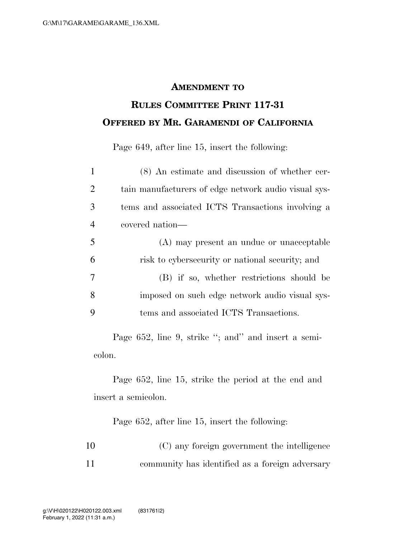## **AMENDMENT TO RULES COMMITTEE PRINT 117-31 OFFERED BY MR. GARAMENDI OF CALIFORNIA**

Page 649, after line 15, insert the following:

| $\mathbf{1}$   | (8) An estimate and discussion of whether cer-       |
|----------------|------------------------------------------------------|
| $\overline{2}$ | tain manufacturers of edge network audio visual sys- |
| 3              | tems and associated ICTS Transactions involving a    |
| $\overline{4}$ | covered nation—                                      |
| 5              | (A) may present an undue or unacceptable             |
| 6              | risk to cybersecurity or national security; and      |
| 7              | (B) if so, whether restrictions should be            |
| 8              | imposed on such edge network audio visual sys-       |
| 9              | tems and associated ICTS Transactions.               |
|                |                                                      |

Page 652, line 9, strike "; and" and insert a semicolon.

Page 652, line 15, strike the period at the end and insert a semicolon.

Page 652, after line 15, insert the following:

| 10 | (C) any foreign government the intelligence     |
|----|-------------------------------------------------|
| 11 | community has identified as a foreign adversary |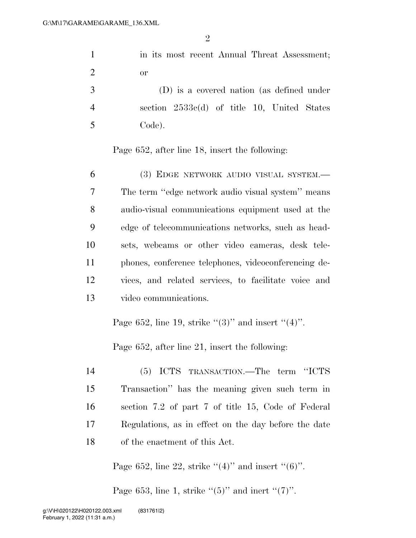1 in its most recent Annual Threat Assessment; or

 (D) is a covered nation (as defined under section 2533c(d) of title 10, United States Code).

Page 652, after line 18, insert the following:

 (3) EDGE NETWORK AUDIO VISUAL SYSTEM.— The term ''edge network audio visual system'' means audio-visual communications equipment used at the edge of telecommunications networks, such as head- sets, webcams or other video cameras, desk tele- phones, conference telephones, videoconferencing de- vices, and related services, to facilitate voice and video communications.

Page 652, line 19, strike  $\lq(3)$ " and insert  $\lq(4)$ ".

Page 652, after line 21, insert the following:

 (5) ICTS TRANSACTION.—The term ''ICTS Transaction'' has the meaning given such term in section 7.2 of part 7 of title 15, Code of Federal Regulations, as in effect on the day before the date of the enactment of this Act.

Page 652, line 22, strike  $((4)$ " and insert  $((6)$ ".

Page 653, line 1, strike  $(5)$ " and inert  $(7)$ ".